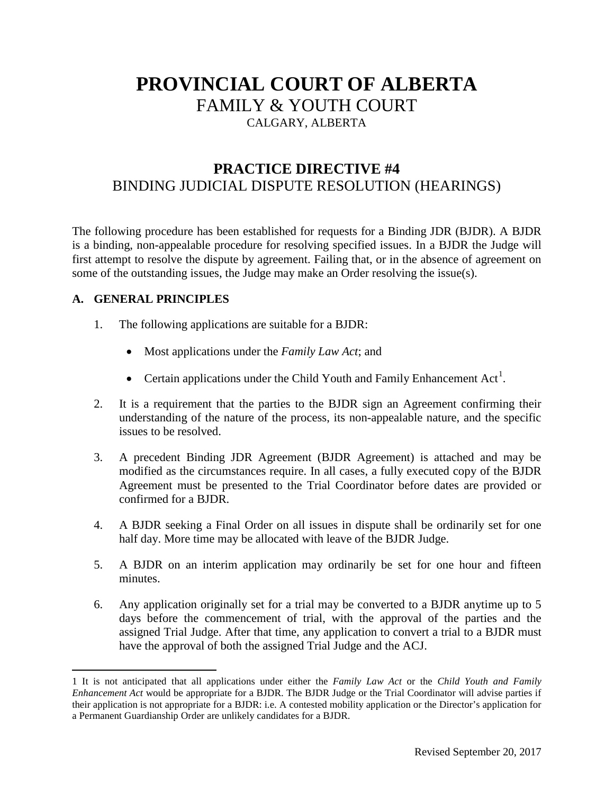# **PROVINCIAL COURT OF ALBERTA** FAMILY & YOUTH COURT CALGARY, ALBERTA

## **PRACTICE DIRECTIVE #4** BINDING JUDICIAL DISPUTE RESOLUTION (HEARINGS)

The following procedure has been established for requests for a Binding JDR (BJDR). A BJDR is a binding, non-appealable procedure for resolving specified issues. In a BJDR the Judge will first attempt to resolve the dispute by agreement. Failing that, or in the absence of agreement on some of the outstanding issues, the Judge may make an Order resolving the issue(s).

#### **A. GENERAL PRINCIPLES**

l

- 1. The following applications are suitable for a BJDR:
	- Most applications under the *Family Law Act*; and
	- Certain applications under the Child Youth and Family Enhancement Act<sup>[1](#page-0-0)</sup>.
- 2. It is a requirement that the parties to the BJDR sign an Agreement confirming their understanding of the nature of the process, its non-appealable nature, and the specific issues to be resolved.
- 3. A precedent Binding JDR Agreement (BJDR Agreement) is attached and may be modified as the circumstances require. In all cases, a fully executed copy of the BJDR Agreement must be presented to the Trial Coordinator before dates are provided or confirmed for a BJDR.
- 4. A BJDR seeking a Final Order on all issues in dispute shall be ordinarily set for one half day. More time may be allocated with leave of the BJDR Judge.
- 5. A BJDR on an interim application may ordinarily be set for one hour and fifteen minutes.
- 6. Any application originally set for a trial may be converted to a BJDR anytime up to 5 days before the commencement of trial, with the approval of the parties and the assigned Trial Judge. After that time, any application to convert a trial to a BJDR must have the approval of both the assigned Trial Judge and the ACJ.

<span id="page-0-1"></span><span id="page-0-0"></span><sup>1</sup> It is not anticipated that all applications under either the *Family Law Act* or the *Child Youth and Family Enhancement Act* would be appropriate for a BJDR. The BJDR Judge or the Trial Coordinator will advise parties if their application is not appropriate for a BJDR: i.e. A contested mobility application or the Director's application for a Permanent Guardianship Order are unlikely candidates for a BJDR.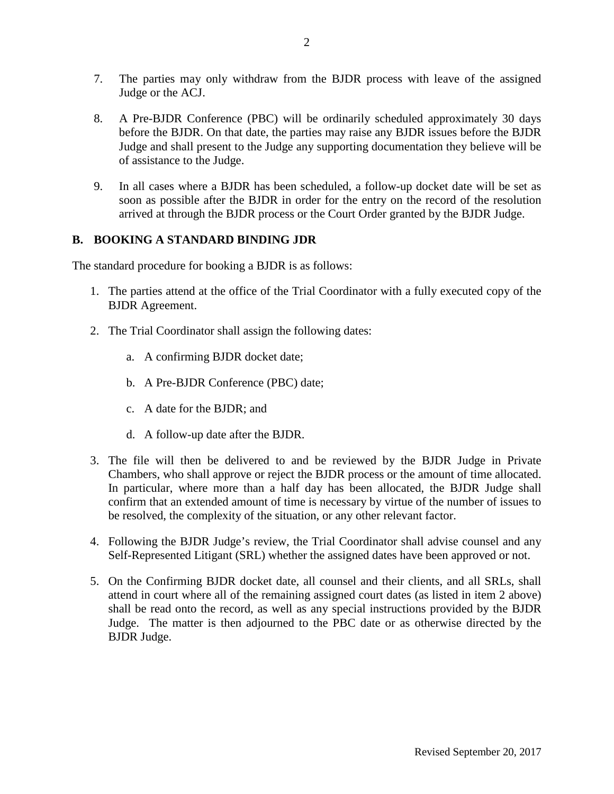- 7. The parties may only withdraw from the BJDR process with leave of the assigned Judge or the ACJ.
- 8. A Pre-BJDR Conference (PBC) will be ordinarily scheduled approximately 30 days before the BJDR. On that date, the parties may raise any BJDR issues before the BJDR Judge and shall present to the Judge any supporting documentation they believe will be of assistance to the Judge.
- 9. In all cases where a BJDR has been scheduled, a follow-up docket date will be set as soon as possible after the BJDR in order for the entry on the record of the resolution arrived at through the BJDR process or the Court Order granted by the BJDR Judge.

#### **B. BOOKING A STANDARD BINDING JDR**

The standard procedure for booking a BJDR is as follows:

- 1. The parties attend at the office of the Trial Coordinator with a fully executed copy of the BJDR Agreement.
- 2. The Trial Coordinator shall assign the following dates:
	- a. A confirming BJDR docket date;
	- b. A Pre-BJDR Conference (PBC) date;
	- c. A date for the BJDR; and
	- d. A follow-up date after the BJDR.
- 3. The file will then be delivered to and be reviewed by the BJDR Judge in Private Chambers, who shall approve or reject the BJDR process or the amount of time allocated. In particular, where more than a half day has been allocated, the BJDR Judge shall confirm that an extended amount of time is necessary by virtue of the number of issues to be resolved, the complexity of the situation, or any other relevant factor.
- 4. Following the BJDR Judge's review, the Trial Coordinator shall advise counsel and any Self-Represented Litigant (SRL) whether the assigned dates have been approved or not.
- 5. On the Confirming BJDR docket date, all counsel and their clients, and all SRLs, shall attend in court where all of the remaining assigned court dates (as listed in item 2 above) shall be read onto the record, as well as any special instructions provided by the BJDR Judge. The matter is then adjourned to the PBC date or as otherwise directed by the BJDR Judge.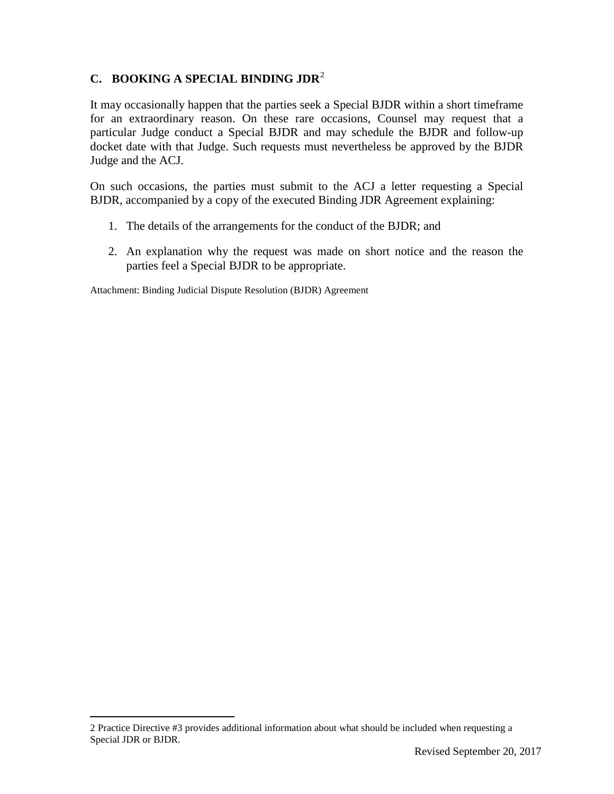#### **C. BOOKING A SPECIAL BINDING JDR**[2](#page-0-1)

It may occasionally happen that the parties seek a Special BJDR within a short timeframe for an extraordinary reason. On these rare occasions, Counsel may request that a particular Judge conduct a Special BJDR and may schedule the BJDR and follow-up docket date with that Judge. Such requests must nevertheless be approved by the BJDR Judge and the ACJ.

On such occasions, the parties must submit to the ACJ a letter requesting a Special BJDR, accompanied by a copy of the executed Binding JDR Agreement explaining:

- 1. The details of the arrangements for the conduct of the BJDR; and
- 2. An explanation why the request was made on short notice and the reason the parties feel a Special BJDR to be appropriate.

Attachment: Binding Judicial Dispute Resolution (BJDR) Agreement

 $\overline{\phantom{a}}$ 

<sup>2</sup> Practice Directive #3 provides additional information about what should be included when requesting a Special JDR or BJDR.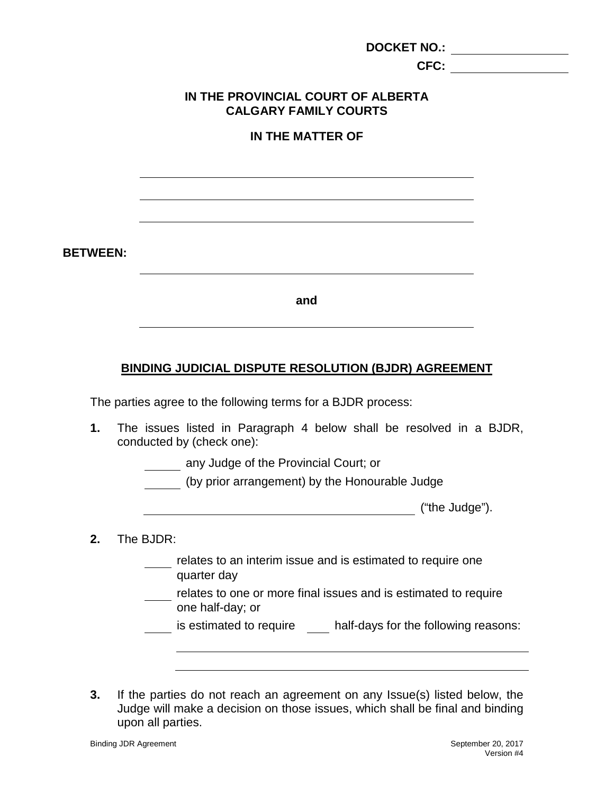|                 | <b>DOCKET NO.:</b>                                                 |  |
|-----------------|--------------------------------------------------------------------|--|
|                 | CFC:                                                               |  |
|                 | IN THE PROVINCIAL COURT OF ALBERTA<br><b>CALGARY FAMILY COURTS</b> |  |
|                 | <b>IN THE MATTER OF</b>                                            |  |
|                 |                                                                    |  |
|                 |                                                                    |  |
|                 |                                                                    |  |
| <b>BETWEEN:</b> |                                                                    |  |
|                 | and                                                                |  |
|                 |                                                                    |  |

## **BINDING JUDICIAL DISPUTE RESOLUTION (BJDR) AGREEMENT**

The parties agree to the following terms for a BJDR process:

- **1.** The issues listed in Paragraph 4 below shall be resolved in a BJDR, conducted by (check one):
	- **Altarata A** any Judge of the Provincial Court; or
	- (by prior arrangement) by the Honourable Judge

("the Judge").

- **2.** The BJDR:
	- relates to an interim issue and is estimated to require one quarter day
	- relates to one or more final issues and is estimated to require one half-day; or

is estimated to require half-days for the following reasons:

**3.** If the parties do not reach an agreement on any Issue(s) listed below, the Judge will make a decision on those issues, which shall be final and binding upon all parties.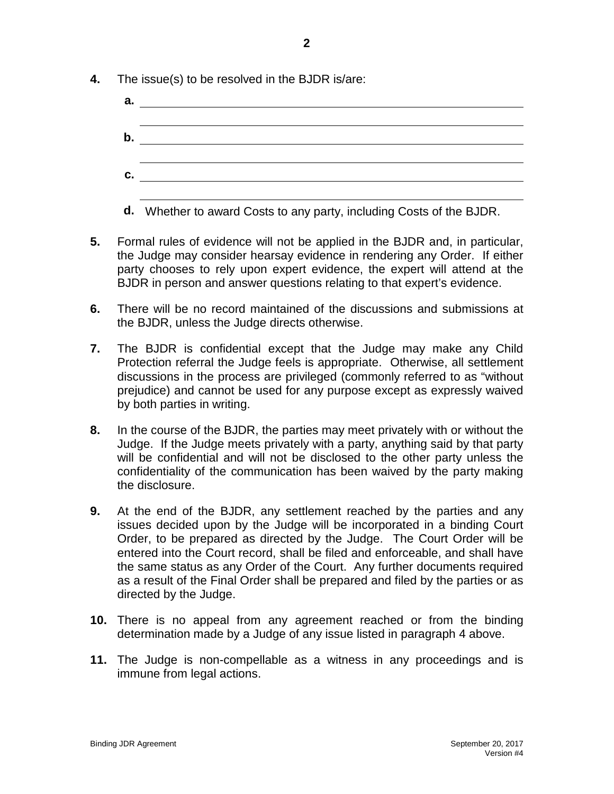- **4.** The issue(s) to be resolved in the BJDR is/are:
	- **a. b. c.**
	- **d.** Whether to award Costs to any party, including Costs of the BJDR.
- **5.** Formal rules of evidence will not be applied in the BJDR and, in particular, the Judge may consider hearsay evidence in rendering any Order. If either party chooses to rely upon expert evidence, the expert will attend at the BJDR in person and answer questions relating to that expert's evidence.
- **6.** There will be no record maintained of the discussions and submissions at the BJDR, unless the Judge directs otherwise.
- **7.** The BJDR is confidential except that the Judge may make any Child Protection referral the Judge feels is appropriate. Otherwise, all settlement discussions in the process are privileged (commonly referred to as "without prejudice) and cannot be used for any purpose except as expressly waived by both parties in writing.
- **8.** In the course of the BJDR, the parties may meet privately with or without the Judge. If the Judge meets privately with a party, anything said by that party will be confidential and will not be disclosed to the other party unless the confidentiality of the communication has been waived by the party making the disclosure.
- **9.** At the end of the BJDR, any settlement reached by the parties and any issues decided upon by the Judge will be incorporated in a binding Court Order, to be prepared as directed by the Judge. The Court Order will be entered into the Court record, shall be filed and enforceable, and shall have the same status as any Order of the Court. Any further documents required as a result of the Final Order shall be prepared and filed by the parties or as directed by the Judge.
- **10.** There is no appeal from any agreement reached or from the binding determination made by a Judge of any issue listed in paragraph 4 above.
- **11.** The Judge is non-compellable as a witness in any proceedings and is immune from legal actions.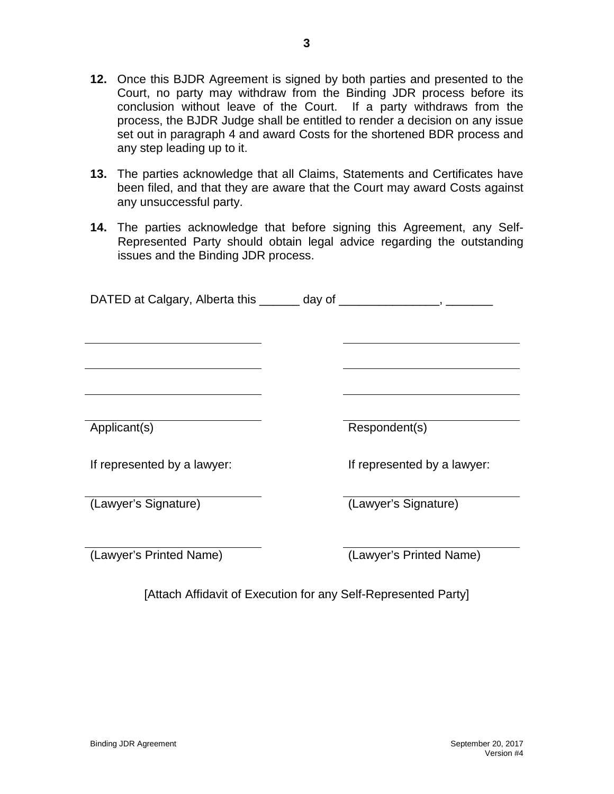- **12.** Once this BJDR Agreement is signed by both parties and presented to the Court, no party may withdraw from the Binding JDR process before its conclusion without leave of the Court. If a party withdraws from the process, the BJDR Judge shall be entitled to render a decision on any issue set out in paragraph 4 and award Costs for the shortened BDR process and any step leading up to it.
- **13.** The parties acknowledge that all Claims, Statements and Certificates have been filed, and that they are aware that the Court may award Costs against any unsuccessful party.
- **14.** The parties acknowledge that before signing this Agreement, any Self-Represented Party should obtain legal advice regarding the outstanding issues and the Binding JDR process.

| DATED at Calgary, Alberta this _______ day of ______ |                             |
|------------------------------------------------------|-----------------------------|
|                                                      |                             |
|                                                      |                             |
|                                                      |                             |
|                                                      |                             |
| Applicant(s)                                         | Respondent(s)               |
| If represented by a lawyer:                          | If represented by a lawyer: |
| (Lawyer's Signature)                                 | (Lawyer's Signature)        |
| (Lawyer's Printed Name)                              | (Lawyer's Printed Name)     |

[Attach Affidavit of Execution for any Self-Represented Party]